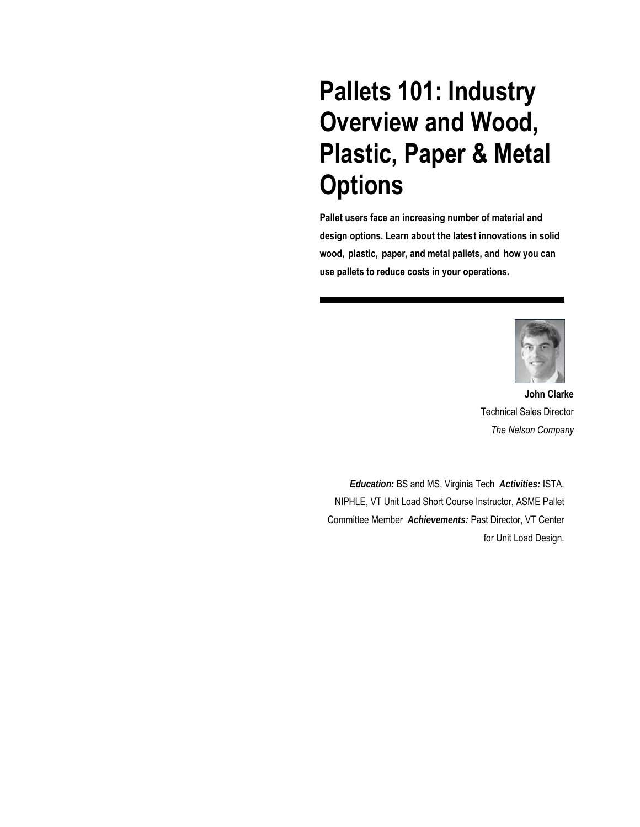# **Pallets 101: Industry Overview and Wood, Plastic, Paper & Metal Options**

**Pallet users face an increasing number of material and design options. Learn about the latest innovations in solid wood, plastic, paper, and metal pallets, and how you can use pallets to reduce costs in your operations.** 



 **John Clarke**  Technical Sales Director *The Nelson Company*

*Education:* BS and MS, Virginia Tech *Activities:* ISTA, NIPHLE, VT Unit Load Short Course Instructor, ASME Pallet Committee Member *Achievements:* Past Director, VT Center for Unit Load Design.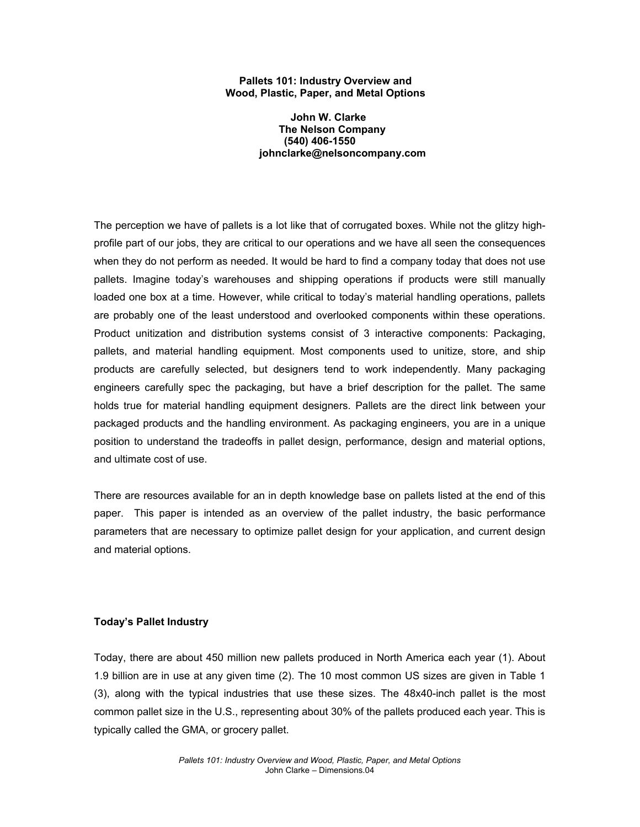### **Pallets 101: Industry Overview and Wood, Plastic, Paper, and Metal Options**

 **John W. Clarke The Nelson Company (540) 406-1550 johnclarke@nelsoncompany.com** 

The perception we have of pallets is a lot like that of corrugated boxes. While not the glitzy highprofile part of our jobs, they are critical to our operations and we have all seen the consequences when they do not perform as needed. It would be hard to find a company today that does not use pallets. Imagine today's warehouses and shipping operations if products were still manually loaded one box at a time. However, while critical to today's material handling operations, pallets are probably one of the least understood and overlooked components within these operations. Product unitization and distribution systems consist of 3 interactive components: Packaging, pallets, and material handling equipment. Most components used to unitize, store, and ship products are carefully selected, but designers tend to work independently. Many packaging engineers carefully spec the packaging, but have a brief description for the pallet. The same holds true for material handling equipment designers. Pallets are the direct link between your packaged products and the handling environment. As packaging engineers, you are in a unique position to understand the tradeoffs in pallet design, performance, design and material options, and ultimate cost of use.

There are resources available for an in depth knowledge base on pallets listed at the end of this paper. This paper is intended as an overview of the pallet industry, the basic performance parameters that are necessary to optimize pallet design for your application, and current design and material options.

## **Today's Pallet Industry**

Today, there are about 450 million new pallets produced in North America each year (1). About 1.9 billion are in use at any given time (2). The 10 most common US sizes are given in Table 1 (3), along with the typical industries that use these sizes. The 48x40-inch pallet is the most common pallet size in the U.S., representing about 30% of the pallets produced each year. This is typically called the GMA, or grocery pallet.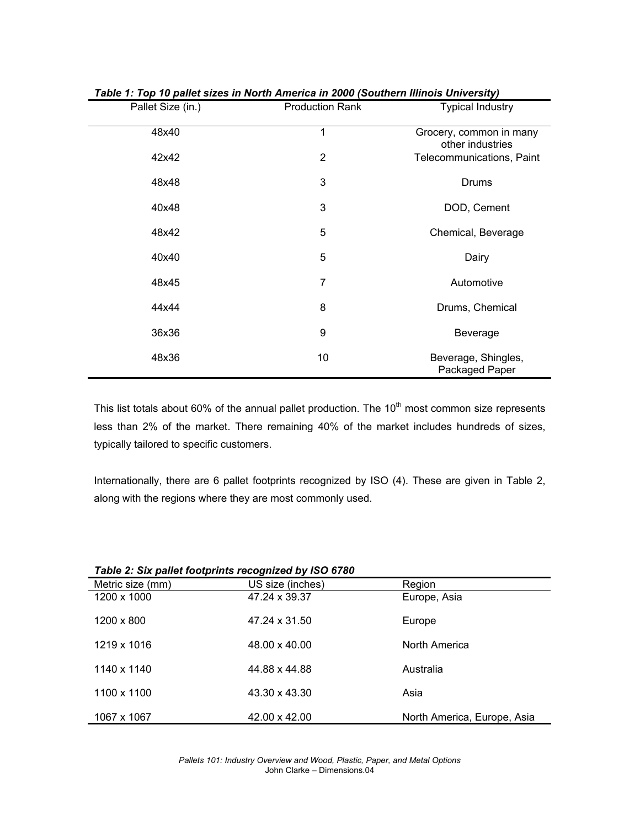| rapic 1. Top To pance sizes in North America in 2000 (Obdenem initiois University) |                        |                                             |  |  |
|------------------------------------------------------------------------------------|------------------------|---------------------------------------------|--|--|
| Pallet Size (in.)                                                                  | <b>Production Rank</b> | <b>Typical Industry</b>                     |  |  |
| 48x40                                                                              | 1                      | Grocery, common in many<br>other industries |  |  |
| 42x42                                                                              | $\overline{2}$         | Telecommunications, Paint                   |  |  |
| 48x48                                                                              | 3                      | Drums                                       |  |  |
| 40x48                                                                              | 3                      | DOD, Cement                                 |  |  |
| 48x42                                                                              | 5                      | Chemical, Beverage                          |  |  |
| 40x40                                                                              | 5                      | Dairy                                       |  |  |
| 48x45                                                                              | 7                      | Automotive                                  |  |  |
| 44x44                                                                              | 8                      | Drums, Chemical                             |  |  |
| 36x36                                                                              | 9                      | Beverage                                    |  |  |
| 48x36                                                                              | 10                     | Beverage, Shingles,<br>Packaged Paper       |  |  |

|  | Table 1: Top 10 pallet sizes in North America in 2000 (Southern Illinois University) |  |
|--|--------------------------------------------------------------------------------------|--|
|--|--------------------------------------------------------------------------------------|--|

This list totals about 60% of the annual pallet production. The 10<sup>th</sup> most common size represents less than 2% of the market. There remaining 40% of the market includes hundreds of sizes, typically tailored to specific customers.

Internationally, there are 6 pallet footprints recognized by ISO (4). These are given in Table 2, along with the regions where they are most commonly used.

| Table 2: Six pallet footprints recognized by ISO 6780 |                  |                             |  |  |
|-------------------------------------------------------|------------------|-----------------------------|--|--|
| Metric size (mm)                                      | US size (inches) | Region                      |  |  |
| 1200 x 1000                                           | 47.24 x 39.37    | Europe, Asia                |  |  |
| 1200 x 800                                            | 47.24 x 31.50    | Europe                      |  |  |
| 1219 x 1016                                           | 48.00 x 40.00    | North America               |  |  |
| 1140 x 1140                                           | 44.88 x 44.88    | Australia                   |  |  |
| 1100 x 1100                                           | 43.30 x 43.30    | Asia                        |  |  |
| 1067 x 1067                                           | 42.00 x 42.00    | North America, Europe, Asia |  |  |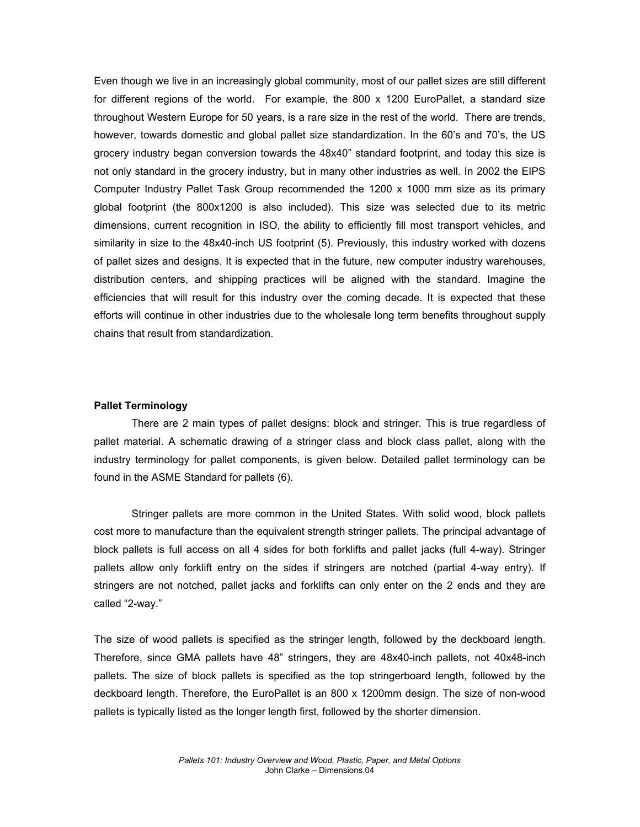Even though we live in an increasingly global community, most of our pallet sizes are still different for different regions of the world. For example, the 800 x 1200 EuroPallet, a standard size throughout Western Europe for 50 years, is a rare size in the rest of the world. There are trends, however, towards domestic and global pallet size standardization. In the 60's and 70's, the US grocery industry began conversion towards the 48x40" standard footprint, and today this size is not only standard in the grocery industry, but in many other industries as well. In 2002 the EIPS Computer Industry Pallet Task Group recommended the 1200 x 1000 mm size as its primary global footprint (the 800x1200 is also included). This size was selected due to its metric dimensions, current recognition in ISO, the ability to efficiently fill most transport vehicles, and similarity in size to the 48x40-inch US footprint (5). Previously, this industry worked with dozens of pallet sizes and designs. It is expected that in the future, new computer industry warehouses, distribution centers, and shipping practices will be aligned with the standard. Imagine the efficiencies that will result for this industry over the coming decade. It is expected that these efforts will continue in other industries due to the wholesale long term benefits throughout supply chains that result from standardization.

#### **Pallet Terminology**

 There are 2 main types of pallet designs: block and stringer. This is true regardless of pallet material. A schematic drawing of a stringer class and block class pallet, along with the industry terminology for pallet components, is given below. Detailed pallet terminology can be found in the ASME Standard for pallets (6).

 Stringer pallets are more common in the United States. With solid wood, block pallets cost more to manufacture than the equivalent strength stringer pallets. The principal advantage of block pallets is full access on all 4 sides for both forklifts and pallet jacks (full 4-way). Stringer pallets allow only forklift entry on the sides if stringers are notched (partial 4-way entry). If stringers are not notched, pallet jacks and forklifts can only enter on the 2 ends and they are called "2-way."

The size of wood pallets is specified as the stringer length, followed by the deckboard length. Therefore, since GMA pallets have 48" stringers, they are 48x40-inch pallets, not 40x48-inch pallets. The size of block pallets is specified as the top stringerboard length, followed by the deckboard length. Therefore, the EuroPallet is an 800 x 1200mm design. The size of non-wood pallets is typically listed as the longer length first, followed by the shorter dimension.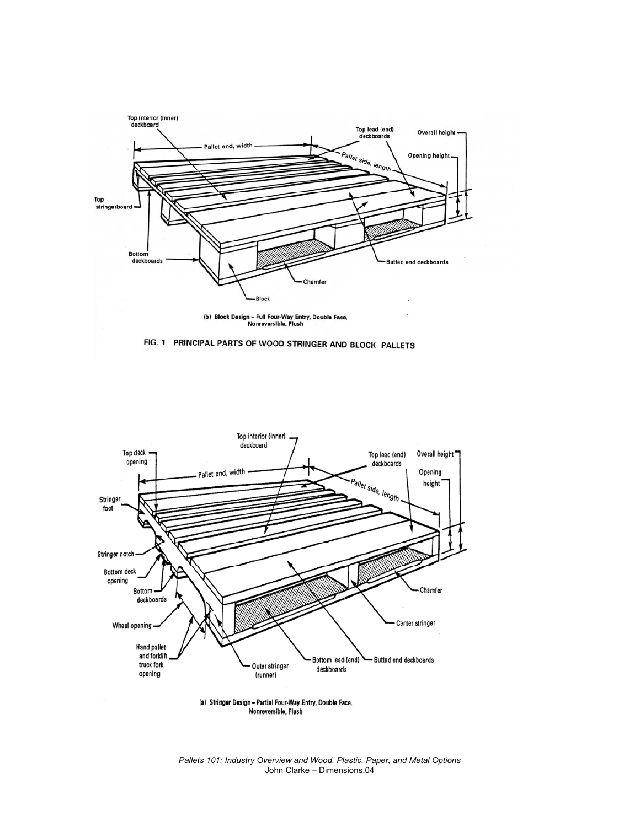





(a) Stringer Design - Partial Four-Way Entry, Double Face, Nonreversible, Flush

*Pallets 101: Industry Overview and Wood, Plastic, Paper, and Metal Options*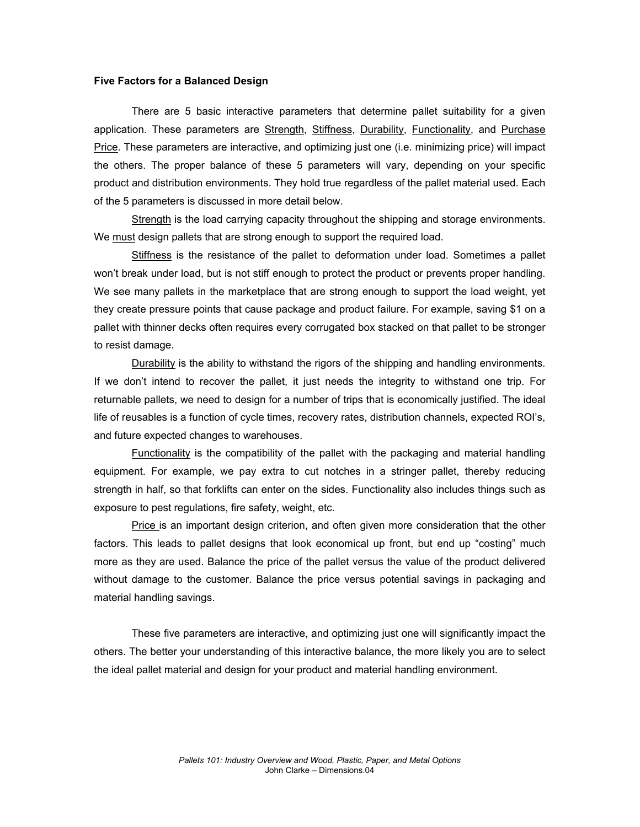### **Five Factors for a Balanced Design**

There are 5 basic interactive parameters that determine pallet suitability for a given application. These parameters are Strength, Stiffness, Durability, Functionality, and Purchase Price. These parameters are interactive, and optimizing just one (i.e. minimizing price) will impact the others. The proper balance of these 5 parameters will vary, depending on your specific product and distribution environments. They hold true regardless of the pallet material used. Each of the 5 parameters is discussed in more detail below.

Strength is the load carrying capacity throughout the shipping and storage environments. We must design pallets that are strong enough to support the required load.

Stiffness is the resistance of the pallet to deformation under load. Sometimes a pallet won't break under load, but is not stiff enough to protect the product or prevents proper handling. We see many pallets in the marketplace that are strong enough to support the load weight, yet they create pressure points that cause package and product failure. For example, saving \$1 on a pallet with thinner decks often requires every corrugated box stacked on that pallet to be stronger to resist damage.

Durability is the ability to withstand the rigors of the shipping and handling environments. If we don't intend to recover the pallet, it just needs the integrity to withstand one trip. For returnable pallets, we need to design for a number of trips that is economically justified. The ideal life of reusables is a function of cycle times, recovery rates, distribution channels, expected ROI's, and future expected changes to warehouses.

 $F$ unctionality is the compatibility of the pallet with the packaging and material handling equipment. For example, we pay extra to cut notches in a stringer pallet, thereby reducing strength in half, so that forklifts can enter on the sides. Functionality also includes things such as exposure to pest regulations, fire safety, weight, etc.

Price is an important design criterion, and often given more consideration that the other factors. This leads to pallet designs that look economical up front, but end up "costing" much more as they are used. Balance the price of the pallet versus the value of the product delivered without damage to the customer. Balance the price versus potential savings in packaging and material handling savings.

These five parameters are interactive, and optimizing just one will significantly impact the others. The better your understanding of this interactive balance, the more likely you are to select the ideal pallet material and design for your product and material handling environment.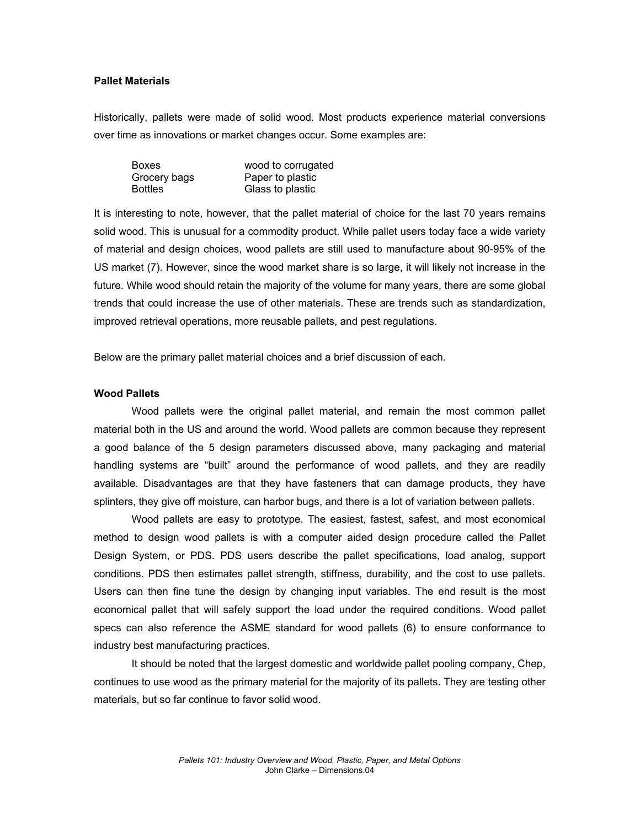## **Pallet Materials**

Historically, pallets were made of solid wood. Most products experience material conversions over time as innovations or market changes occur. Some examples are:

| <b>Boxes</b>   | wood to corrugated |
|----------------|--------------------|
| Grocery bags   | Paper to plastic   |
| <b>Bottles</b> | Glass to plastic   |

It is interesting to note, however, that the pallet material of choice for the last 70 years remains solid wood. This is unusual for a commodity product. While pallet users today face a wide variety of material and design choices, wood pallets are still used to manufacture about 90-95% of the US market (7). However, since the wood market share is so large, it will likely not increase in the future. While wood should retain the majority of the volume for many years, there are some global trends that could increase the use of other materials. These are trends such as standardization, improved retrieval operations, more reusable pallets, and pest regulations.

Below are the primary pallet material choices and a brief discussion of each.

#### **Wood Pallets**

Wood pallets were the original pallet material, and remain the most common pallet material both in the US and around the world. Wood pallets are common because they represent a good balance of the 5 design parameters discussed above, many packaging and material handling systems are "built" around the performance of wood pallets, and they are readily available. Disadvantages are that they have fasteners that can damage products, they have splinters, they give off moisture, can harbor bugs, and there is a lot of variation between pallets.

 Wood pallets are easy to prototype. The easiest, fastest, safest, and most economical method to design wood pallets is with a computer aided design procedure called the Pallet Design System, or PDS. PDS users describe the pallet specifications, load analog, support conditions. PDS then estimates pallet strength, stiffness, durability, and the cost to use pallets. Users can then fine tune the design by changing input variables. The end result is the most economical pallet that will safely support the load under the required conditions. Wood pallet specs can also reference the ASME standard for wood pallets (6) to ensure conformance to industry best manufacturing practices.

 It should be noted that the largest domestic and worldwide pallet pooling company, Chep, continues to use wood as the primary material for the majority of its pallets. They are testing other materials, but so far continue to favor solid wood.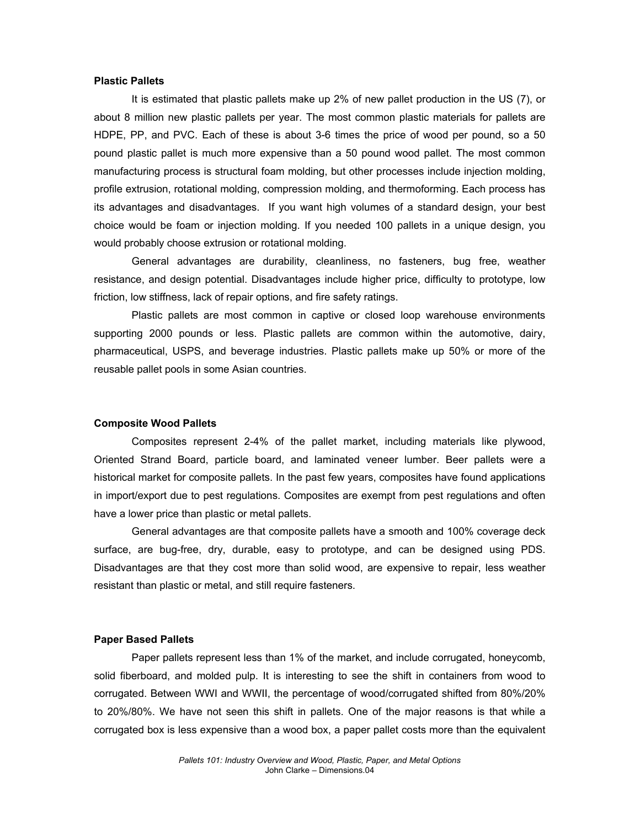#### **Plastic Pallets**

It is estimated that plastic pallets make up 2% of new pallet production in the US (7), or about 8 million new plastic pallets per year. The most common plastic materials for pallets are HDPE, PP, and PVC. Each of these is about 3-6 times the price of wood per pound, so a 50 pound plastic pallet is much more expensive than a 50 pound wood pallet. The most common manufacturing process is structural foam molding, but other processes include injection molding, profile extrusion, rotational molding, compression molding, and thermoforming. Each process has its advantages and disadvantages. If you want high volumes of a standard design, your best choice would be foam or injection molding. If you needed 100 pallets in a unique design, you would probably choose extrusion or rotational molding.

General advantages are durability, cleanliness, no fasteners, bug free, weather resistance, and design potential. Disadvantages include higher price, difficulty to prototype, low friction, low stiffness, lack of repair options, and fire safety ratings.

Plastic pallets are most common in captive or closed loop warehouse environments supporting 2000 pounds or less. Plastic pallets are common within the automotive, dairy, pharmaceutical, USPS, and beverage industries. Plastic pallets make up 50% or more of the reusable pallet pools in some Asian countries.

#### **Composite Wood Pallets**

Composites represent 2-4% of the pallet market, including materials like plywood, Oriented Strand Board, particle board, and laminated veneer lumber. Beer pallets were a historical market for composite pallets. In the past few years, composites have found applications in import/export due to pest regulations. Composites are exempt from pest regulations and often have a lower price than plastic or metal pallets.

General advantages are that composite pallets have a smooth and 100% coverage deck surface, are bug-free, dry, durable, easy to prototype, and can be designed using PDS. Disadvantages are that they cost more than solid wood, are expensive to repair, less weather resistant than plastic or metal, and still require fasteners.

### **Paper Based Pallets**

Paper pallets represent less than 1% of the market, and include corrugated, honeycomb, solid fiberboard, and molded pulp. It is interesting to see the shift in containers from wood to corrugated. Between WWI and WWII, the percentage of wood/corrugated shifted from 80%/20% to 20%/80%. We have not seen this shift in pallets. One of the major reasons is that while a corrugated box is less expensive than a wood box, a paper pallet costs more than the equivalent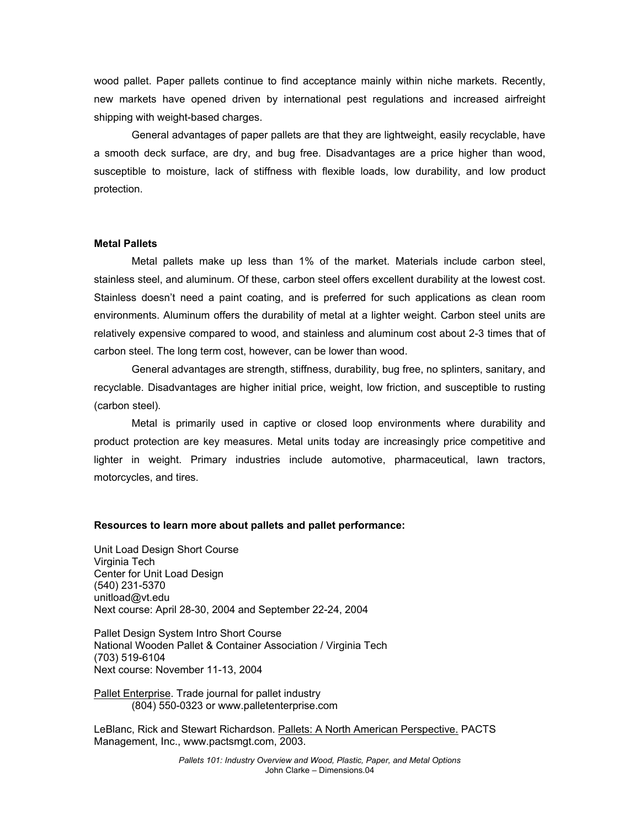wood pallet. Paper pallets continue to find acceptance mainly within niche markets. Recently, new markets have opened driven by international pest regulations and increased airfreight shipping with weight-based charges.

General advantages of paper pallets are that they are lightweight, easily recyclable, have a smooth deck surface, are dry, and bug free. Disadvantages are a price higher than wood, susceptible to moisture, lack of stiffness with flexible loads, low durability, and low product protection.

#### **Metal Pallets**

Metal pallets make up less than 1% of the market. Materials include carbon steel, stainless steel, and aluminum. Of these, carbon steel offers excellent durability at the lowest cost. Stainless doesn't need a paint coating, and is preferred for such applications as clean room environments. Aluminum offers the durability of metal at a lighter weight. Carbon steel units are relatively expensive compared to wood, and stainless and aluminum cost about 2-3 times that of carbon steel. The long term cost, however, can be lower than wood.

General advantages are strength, stiffness, durability, bug free, no splinters, sanitary, and recyclable. Disadvantages are higher initial price, weight, low friction, and susceptible to rusting (carbon steel).

Metal is primarily used in captive or closed loop environments where durability and product protection are key measures. Metal units today are increasingly price competitive and lighter in weight. Primary industries include automotive, pharmaceutical, lawn tractors, motorcycles, and tires.

#### **Resources to learn more about pallets and pallet performance:**

Unit Load Design Short Course Virginia Tech Center for Unit Load Design (540) 231-5370 unitload@vt.edu Next course: April 28-30, 2004 and September 22-24, 2004

Pallet Design System Intro Short Course National Wooden Pallet & Container Association / Virginia Tech (703) 519-6104 Next course: November 11-13, 2004

Pallet Enterprise. Trade journal for pallet industry (804) 550-0323 or www.palletenterprise.com

LeBlanc, Rick and Stewart Richardson. Pallets: A North American Perspective. PACTS Management, Inc., www.pactsmgt.com, 2003.

> *Pallets 101: Industry Overview and Wood, Plastic, Paper, and Metal Options*  John Clarke – Dimensions.04